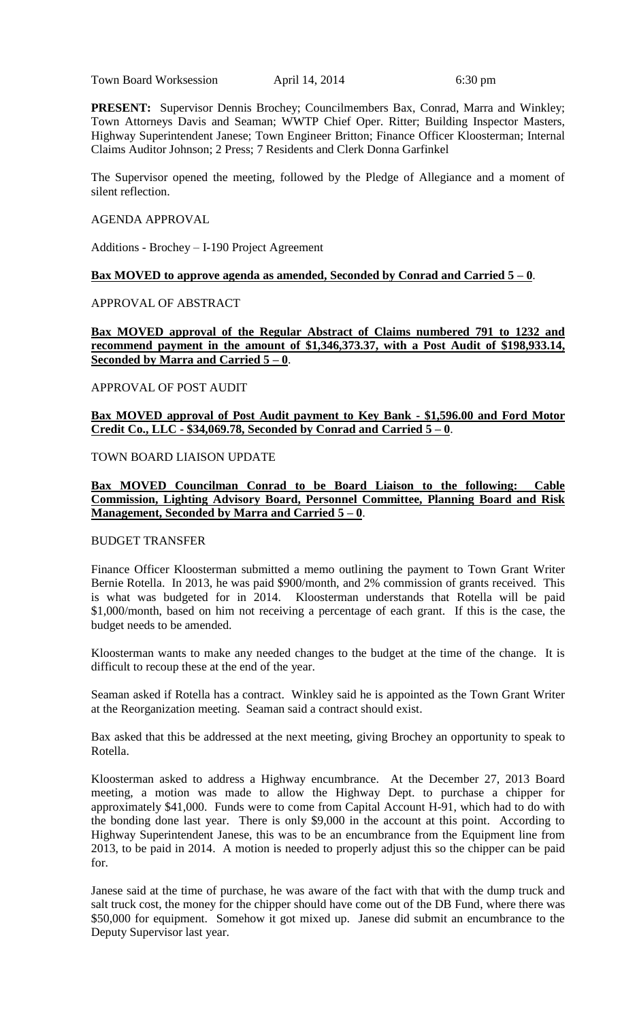Town Board Worksession April 14, 2014 6:30 pm

**PRESENT:** Supervisor Dennis Brochey; Councilmembers Bax, Conrad, Marra and Winkley; Town Attorneys Davis and Seaman; WWTP Chief Oper. Ritter; Building Inspector Masters, Highway Superintendent Janese; Town Engineer Britton; Finance Officer Kloosterman; Internal Claims Auditor Johnson; 2 Press; 7 Residents and Clerk Donna Garfinkel

The Supervisor opened the meeting, followed by the Pledge of Allegiance and a moment of silent reflection.

#### AGENDA APPROVAL

Additions - Brochey – I-190 Project Agreement

#### **Bax MOVED to approve agenda as amended, Seconded by Conrad and Carried 5 – 0**.

APPROVAL OF ABSTRACT

**Bax MOVED approval of the Regular Abstract of Claims numbered 791 to 1232 and recommend payment in the amount of \$1,346,373.37, with a Post Audit of \$198,933.14, Seconded by Marra and Carried 5 – 0**.

#### APPROVAL OF POST AUDIT

**Bax MOVED approval of Post Audit payment to Key Bank - \$1,596.00 and Ford Motor Credit Co., LLC - \$34,069.78, Seconded by Conrad and Carried 5 – 0**.

## TOWN BOARD LIAISON UPDATE

# **Bax MOVED Councilman Conrad to be Board Liaison to the following: Cable Commission, Lighting Advisory Board, Personnel Committee, Planning Board and Risk Management, Seconded by Marra and Carried 5 – 0**.

#### BUDGET TRANSFER

Finance Officer Kloosterman submitted a memo outlining the payment to Town Grant Writer Bernie Rotella. In 2013, he was paid \$900/month, and 2% commission of grants received. This is what was budgeted for in 2014. Kloosterman understands that Rotella will be paid \$1,000/month, based on him not receiving a percentage of each grant. If this is the case, the budget needs to be amended.

Kloosterman wants to make any needed changes to the budget at the time of the change. It is difficult to recoup these at the end of the year.

Seaman asked if Rotella has a contract. Winkley said he is appointed as the Town Grant Writer at the Reorganization meeting. Seaman said a contract should exist.

Bax asked that this be addressed at the next meeting, giving Brochey an opportunity to speak to Rotella.

Kloosterman asked to address a Highway encumbrance. At the December 27, 2013 Board meeting, a motion was made to allow the Highway Dept. to purchase a chipper for approximately \$41,000. Funds were to come from Capital Account H-91, which had to do with the bonding done last year. There is only \$9,000 in the account at this point. According to Highway Superintendent Janese, this was to be an encumbrance from the Equipment line from 2013, to be paid in 2014. A motion is needed to properly adjust this so the chipper can be paid for.

Janese said at the time of purchase, he was aware of the fact with that with the dump truck and salt truck cost, the money for the chipper should have come out of the DB Fund, where there was \$50,000 for equipment. Somehow it got mixed up. Janese did submit an encumbrance to the Deputy Supervisor last year.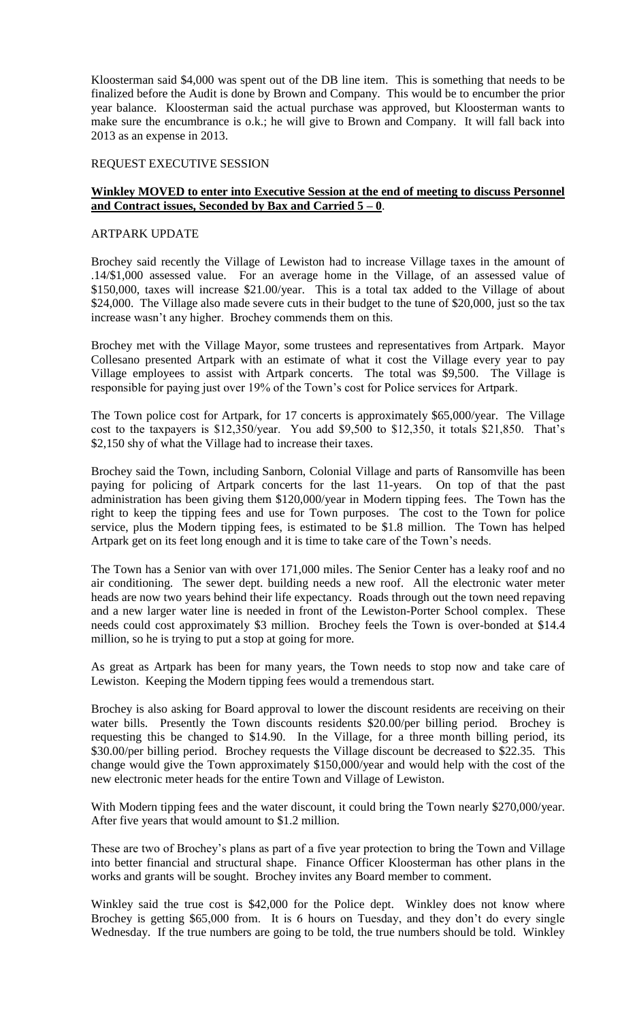Kloosterman said \$4,000 was spent out of the DB line item. This is something that needs to be finalized before the Audit is done by Brown and Company. This would be to encumber the prior year balance. Kloosterman said the actual purchase was approved, but Kloosterman wants to make sure the encumbrance is o.k.; he will give to Brown and Company. It will fall back into 2013 as an expense in 2013.

#### REQUEST EXECUTIVE SESSION

## **Winkley MOVED to enter into Executive Session at the end of meeting to discuss Personnel and Contract issues, Seconded by Bax and Carried 5 – 0**.

#### ARTPARK UPDATE

Brochey said recently the Village of Lewiston had to increase Village taxes in the amount of .14/\$1,000 assessed value. For an average home in the Village, of an assessed value of \$150,000, taxes will increase \$21.00/year. This is a total tax added to the Village of about \$24,000. The Village also made severe cuts in their budget to the tune of \$20,000, just so the tax increase wasn't any higher. Brochey commends them on this.

Brochey met with the Village Mayor, some trustees and representatives from Artpark. Mayor Collesano presented Artpark with an estimate of what it cost the Village every year to pay Village employees to assist with Artpark concerts. The total was \$9,500. The Village is responsible for paying just over 19% of the Town's cost for Police services for Artpark.

The Town police cost for Artpark, for 17 concerts is approximately \$65,000/year. The Village cost to the taxpayers is \$12,350/year. You add \$9,500 to \$12,350, it totals \$21,850. That's \$2,150 shy of what the Village had to increase their taxes.

Brochey said the Town, including Sanborn, Colonial Village and parts of Ransomville has been paying for policing of Artpark concerts for the last 11-years. On top of that the past administration has been giving them \$120,000/year in Modern tipping fees. The Town has the right to keep the tipping fees and use for Town purposes. The cost to the Town for police service, plus the Modern tipping fees, is estimated to be \$1.8 million. The Town has helped Artpark get on its feet long enough and it is time to take care of the Town's needs.

The Town has a Senior van with over 171,000 miles. The Senior Center has a leaky roof and no air conditioning. The sewer dept. building needs a new roof. All the electronic water meter heads are now two years behind their life expectancy. Roads through out the town need repaving and a new larger water line is needed in front of the Lewiston-Porter School complex. These needs could cost approximately \$3 million. Brochey feels the Town is over-bonded at \$14.4 million, so he is trying to put a stop at going for more.

As great as Artpark has been for many years, the Town needs to stop now and take care of Lewiston. Keeping the Modern tipping fees would a tremendous start.

Brochey is also asking for Board approval to lower the discount residents are receiving on their water bills. Presently the Town discounts residents \$20.00/per billing period. Brochey is requesting this be changed to \$14.90. In the Village, for a three month billing period, its \$30.00/per billing period. Brochey requests the Village discount be decreased to \$22.35. This change would give the Town approximately \$150,000/year and would help with the cost of the new electronic meter heads for the entire Town and Village of Lewiston.

With Modern tipping fees and the water discount, it could bring the Town nearly \$270,000/year. After five years that would amount to \$1.2 million.

These are two of Brochey's plans as part of a five year protection to bring the Town and Village into better financial and structural shape. Finance Officer Kloosterman has other plans in the works and grants will be sought. Brochey invites any Board member to comment.

Winkley said the true cost is \$42,000 for the Police dept. Winkley does not know where Brochey is getting \$65,000 from. It is 6 hours on Tuesday, and they don't do every single Wednesday. If the true numbers are going to be told, the true numbers should be told. Winkley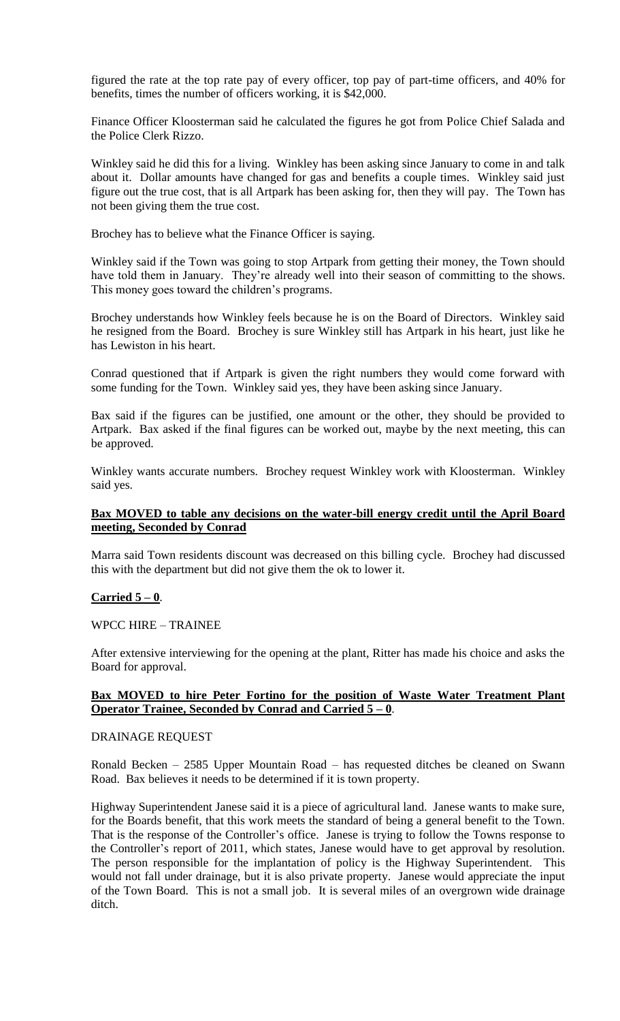figured the rate at the top rate pay of every officer, top pay of part-time officers, and 40% for benefits, times the number of officers working, it is \$42,000.

Finance Officer Kloosterman said he calculated the figures he got from Police Chief Salada and the Police Clerk Rizzo.

Winkley said he did this for a living. Winkley has been asking since January to come in and talk about it. Dollar amounts have changed for gas and benefits a couple times. Winkley said just figure out the true cost, that is all Artpark has been asking for, then they will pay. The Town has not been giving them the true cost.

Brochey has to believe what the Finance Officer is saying.

Winkley said if the Town was going to stop Artpark from getting their money, the Town should have told them in January. They're already well into their season of committing to the shows. This money goes toward the children's programs.

Brochey understands how Winkley feels because he is on the Board of Directors. Winkley said he resigned from the Board. Brochey is sure Winkley still has Artpark in his heart, just like he has Lewiston in his heart.

Conrad questioned that if Artpark is given the right numbers they would come forward with some funding for the Town. Winkley said yes, they have been asking since January.

Bax said if the figures can be justified, one amount or the other, they should be provided to Artpark. Bax asked if the final figures can be worked out, maybe by the next meeting, this can be approved.

Winkley wants accurate numbers. Brochey request Winkley work with Kloosterman. Winkley said yes.

# **Bax MOVED to table any decisions on the water-bill energy credit until the April Board meeting, Seconded by Conrad**

Marra said Town residents discount was decreased on this billing cycle. Brochey had discussed this with the department but did not give them the ok to lower it.

#### **Carried 5 – 0**.

WPCC HIRE – TRAINEE

After extensive interviewing for the opening at the plant, Ritter has made his choice and asks the Board for approval.

## **Bax MOVED to hire Peter Fortino for the position of Waste Water Treatment Plant Operator Trainee, Seconded by Conrad and Carried 5 – 0**.

#### DRAINAGE REQUEST

Ronald Becken – 2585 Upper Mountain Road – has requested ditches be cleaned on Swann Road. Bax believes it needs to be determined if it is town property.

Highway Superintendent Janese said it is a piece of agricultural land. Janese wants to make sure, for the Boards benefit, that this work meets the standard of being a general benefit to the Town. That is the response of the Controller's office. Janese is trying to follow the Towns response to the Controller's report of 2011, which states, Janese would have to get approval by resolution. The person responsible for the implantation of policy is the Highway Superintendent. This would not fall under drainage, but it is also private property. Janese would appreciate the input of the Town Board. This is not a small job. It is several miles of an overgrown wide drainage ditch.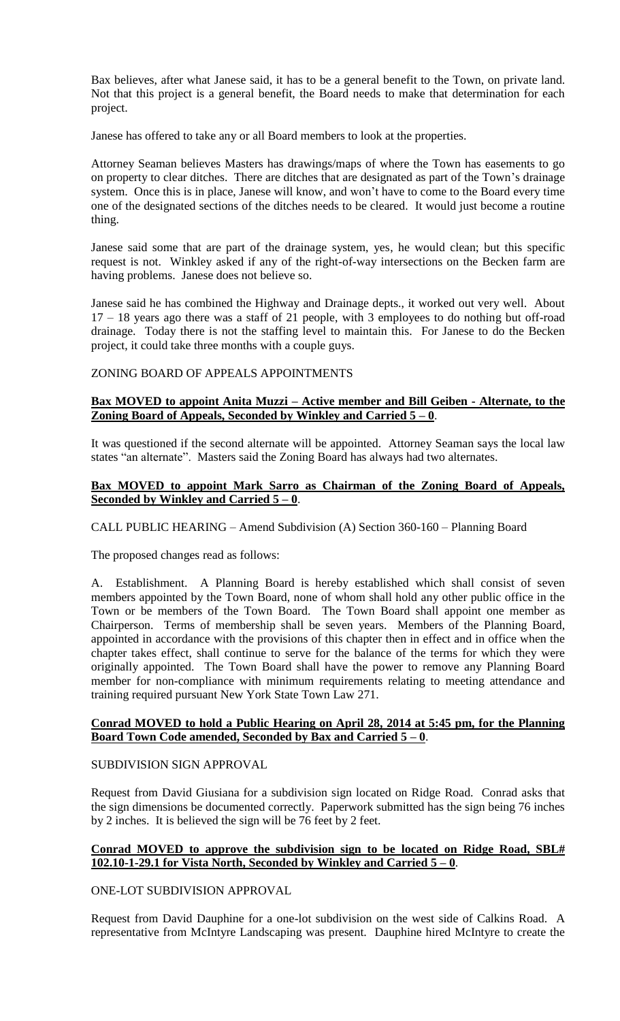Bax believes, after what Janese said, it has to be a general benefit to the Town, on private land. Not that this project is a general benefit, the Board needs to make that determination for each project.

Janese has offered to take any or all Board members to look at the properties.

Attorney Seaman believes Masters has drawings/maps of where the Town has easements to go on property to clear ditches. There are ditches that are designated as part of the Town's drainage system. Once this is in place, Janese will know, and won't have to come to the Board every time one of the designated sections of the ditches needs to be cleared. It would just become a routine thing.

Janese said some that are part of the drainage system, yes, he would clean; but this specific request is not. Winkley asked if any of the right-of-way intersections on the Becken farm are having problems. Janese does not believe so.

Janese said he has combined the Highway and Drainage depts., it worked out very well. About 17 – 18 years ago there was a staff of 21 people, with 3 employees to do nothing but off-road drainage. Today there is not the staffing level to maintain this. For Janese to do the Becken project, it could take three months with a couple guys.

## ZONING BOARD OF APPEALS APPOINTMENTS

# **Bax MOVED to appoint Anita Muzzi – Active member and Bill Geiben - Alternate, to the Zoning Board of Appeals, Seconded by Winkley and Carried 5 – 0**.

It was questioned if the second alternate will be appointed. Attorney Seaman says the local law states "an alternate". Masters said the Zoning Board has always had two alternates.

#### **Bax MOVED to appoint Mark Sarro as Chairman of the Zoning Board of Appeals, Seconded by Winkley and Carried 5 – 0**.

CALL PUBLIC HEARING – Amend Subdivision (A) Section 360-160 – Planning Board

The proposed changes read as follows:

A. Establishment. A Planning Board is hereby established which shall consist of seven members appointed by the Town Board, none of whom shall hold any other public office in the Town or be members of the Town Board. The Town Board shall appoint one member as Chairperson. Terms of membership shall be seven years. Members of the Planning Board, appointed in accordance with the provisions of this chapter then in effect and in office when the chapter takes effect, shall continue to serve for the balance of the terms for which they were originally appointed. The Town Board shall have the power to remove any Planning Board member for non-compliance with minimum requirements relating to meeting attendance and training required pursuant New York State Town Law 271.

#### **Conrad MOVED to hold a Public Hearing on April 28, 2014 at 5:45 pm, for the Planning Board Town Code amended, Seconded by Bax and Carried 5 – 0**.

# SUBDIVISION SIGN APPROVAL

Request from David Giusiana for a subdivision sign located on Ridge Road. Conrad asks that the sign dimensions be documented correctly. Paperwork submitted has the sign being 76 inches by 2 inches. It is believed the sign will be 76 feet by 2 feet.

# **Conrad MOVED to approve the subdivision sign to be located on Ridge Road, SBL# 102.10-1-29.1 for Vista North, Seconded by Winkley and Carried 5 – 0**.

ONE-LOT SUBDIVISION APPROVAL

Request from David Dauphine for a one-lot subdivision on the west side of Calkins Road. A representative from McIntyre Landscaping was present. Dauphine hired McIntyre to create the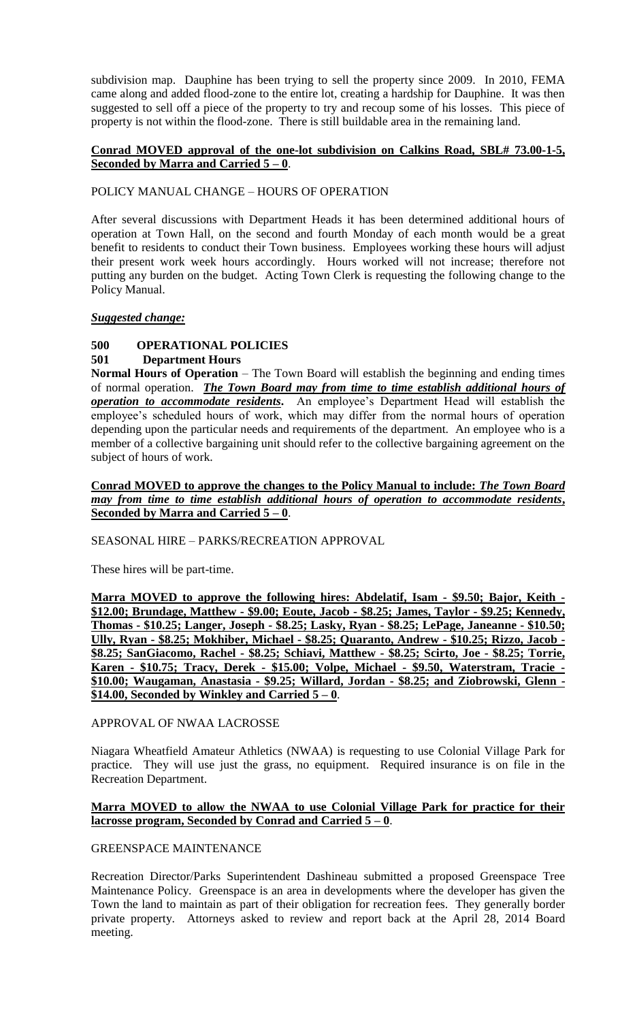subdivision map. Dauphine has been trying to sell the property since 2009. In 2010, FEMA came along and added flood-zone to the entire lot, creating a hardship for Dauphine. It was then suggested to sell off a piece of the property to try and recoup some of his losses. This piece of property is not within the flood-zone. There is still buildable area in the remaining land.

# **Conrad MOVED approval of the one-lot subdivision on Calkins Road, SBL# 73.00-1-5, Seconded by Marra and Carried 5 – 0**.

# POLICY MANUAL CHANGE – HOURS OF OPERATION

After several discussions with Department Heads it has been determined additional hours of operation at Town Hall, on the second and fourth Monday of each month would be a great benefit to residents to conduct their Town business. Employees working these hours will adjust their present work week hours accordingly. Hours worked will not increase; therefore not putting any burden on the budget. Acting Town Clerk is requesting the following change to the Policy Manual.

## *Suggested change:*

# **500 OPERATIONAL POLICIES**

# **501 Department Hours**

**Normal Hours of Operation** – The Town Board will establish the beginning and ending times of normal operation. *The Town Board may from time to time establish additional hours of operation to accommodate residents***.** An employee's Department Head will establish the employee's scheduled hours of work, which may differ from the normal hours of operation depending upon the particular needs and requirements of the department. An employee who is a member of a collective bargaining unit should refer to the collective bargaining agreement on the subject of hours of work.

# **Conrad MOVED to approve the changes to the Policy Manual to include:** *The Town Board may from time to time establish additional hours of operation to accommodate residents***, Seconded by Marra and Carried 5 – 0**.

SEASONAL HIRE – PARKS/RECREATION APPROVAL

These hires will be part-time.

**Marra MOVED to approve the following hires: Abdelatif, Isam - \$9.50; Bajor, Keith - \$12.00; Brundage, Matthew - \$9.00; Eoute, Jacob - \$8.25; James, Taylor - \$9.25; Kennedy, Thomas - \$10.25; Langer, Joseph - \$8.25; Lasky, Ryan - \$8.25; LePage, Janeanne - \$10.50; Ully, Ryan - \$8.25; Mokhiber, Michael - \$8.25; Quaranto, Andrew - \$10.25; Rizzo, Jacob - \$8.25; SanGiacomo, Rachel - \$8.25; Schiavi, Matthew - \$8.25; Scirto, Joe - \$8.25; Torrie, Karen - \$10.75; Tracy, Derek - \$15.00; Volpe, Michael - \$9.50, Waterstram, Tracie - \$10.00; Waugaman, Anastasia - \$9.25; Willard, Jordan - \$8.25; and Ziobrowski, Glenn - \$14.00, Seconded by Winkley and Carried 5 – 0**.

## APPROVAL OF NWAA LACROSSE

Niagara Wheatfield Amateur Athletics (NWAA) is requesting to use Colonial Village Park for practice. They will use just the grass, no equipment. Required insurance is on file in the Recreation Department.

# **Marra MOVED to allow the NWAA to use Colonial Village Park for practice for their lacrosse program, Seconded by Conrad and Carried 5 – 0**.

## GREENSPACE MAINTENANCE

Recreation Director/Parks Superintendent Dashineau submitted a proposed Greenspace Tree Maintenance Policy. Greenspace is an area in developments where the developer has given the Town the land to maintain as part of their obligation for recreation fees. They generally border private property. Attorneys asked to review and report back at the April 28, 2014 Board meeting.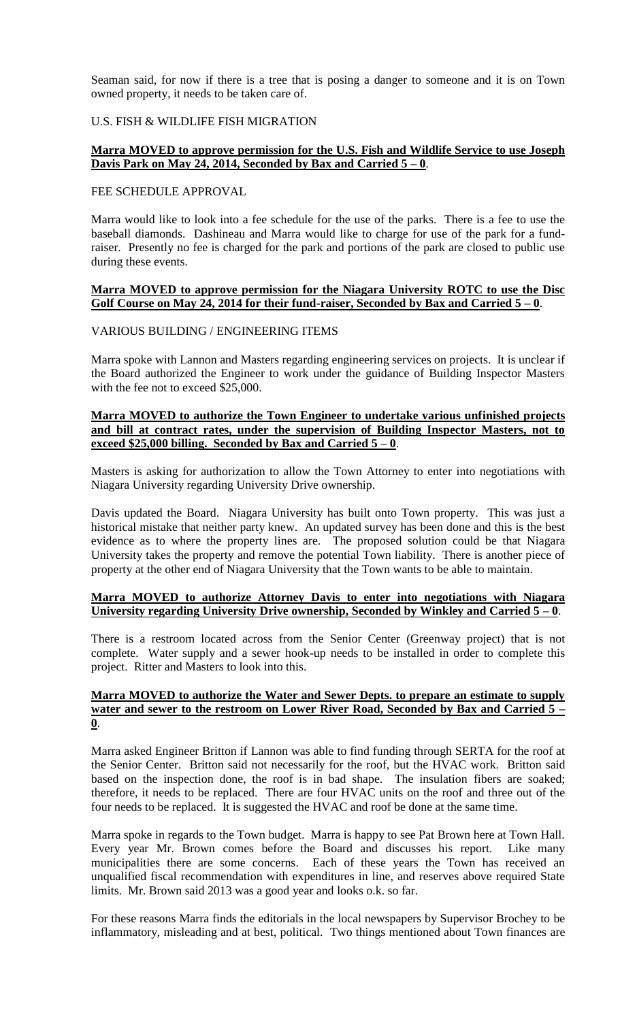Seaman said, for now if there is a tree that is posing a danger to someone and it is on Town owned property, it needs to be taken care of.

#### U.S. FISH & WILDLIFE FISH MIGRATION

#### **Marra MOVED to approve permission for the U.S. Fish and Wildlife Service to use Joseph Davis Park on May 24, 2014, Seconded by Bax and Carried 5 – 0**.

#### FEE SCHEDULE APPROVAL

Marra would like to look into a fee schedule for the use of the parks. There is a fee to use the baseball diamonds. Dashineau and Marra would like to charge for use of the park for a fundraiser. Presently no fee is charged for the park and portions of the park are closed to public use during these events.

#### **Marra MOVED to approve permission for the Niagara University ROTC to use the Disc Golf Course on May 24, 2014 for their fund-raiser, Seconded by Bax and Carried 5 – 0**.

## VARIOUS BUILDING / ENGINEERING ITEMS

Marra spoke with Lannon and Masters regarding engineering services on projects. It is unclear if the Board authorized the Engineer to work under the guidance of Building Inspector Masters with the fee not to exceed \$25,000.

## **Marra MOVED to authorize the Town Engineer to undertake various unfinished projects and bill at contract rates, under the supervision of Building Inspector Masters, not to exceed \$25,000 billing. Seconded by Bax and Carried 5 – 0**.

Masters is asking for authorization to allow the Town Attorney to enter into negotiations with Niagara University regarding University Drive ownership.

Davis updated the Board. Niagara University has built onto Town property. This was just a historical mistake that neither party knew. An updated survey has been done and this is the best evidence as to where the property lines are. The proposed solution could be that Niagara University takes the property and remove the potential Town liability. There is another piece of property at the other end of Niagara University that the Town wants to be able to maintain.

#### **Marra MOVED to authorize Attorney Davis to enter into negotiations with Niagara University regarding University Drive ownership, Seconded by Winkley and Carried 5 – 0**.

There is a restroom located across from the Senior Center (Greenway project) that is not complete. Water supply and a sewer hook-up needs to be installed in order to complete this project. Ritter and Masters to look into this.

## **Marra MOVED to authorize the Water and Sewer Depts. to prepare an estimate to supply water and sewer to the restroom on Lower River Road, Seconded by Bax and Carried 5 – 0**.

Marra asked Engineer Britton if Lannon was able to find funding through SERTA for the roof at the Senior Center. Britton said not necessarily for the roof, but the HVAC work. Britton said based on the inspection done, the roof is in bad shape. The insulation fibers are soaked; therefore, it needs to be replaced. There are four HVAC units on the roof and three out of the four needs to be replaced. It is suggested the HVAC and roof be done at the same time.

Marra spoke in regards to the Town budget. Marra is happy to see Pat Brown here at Town Hall. Every year Mr. Brown comes before the Board and discusses his report. Like many municipalities there are some concerns. Each of these years the Town has received an unqualified fiscal recommendation with expenditures in line, and reserves above required State limits. Mr. Brown said 2013 was a good year and looks o.k. so far.

For these reasons Marra finds the editorials in the local newspapers by Supervisor Brochey to be inflammatory, misleading and at best, political. Two things mentioned about Town finances are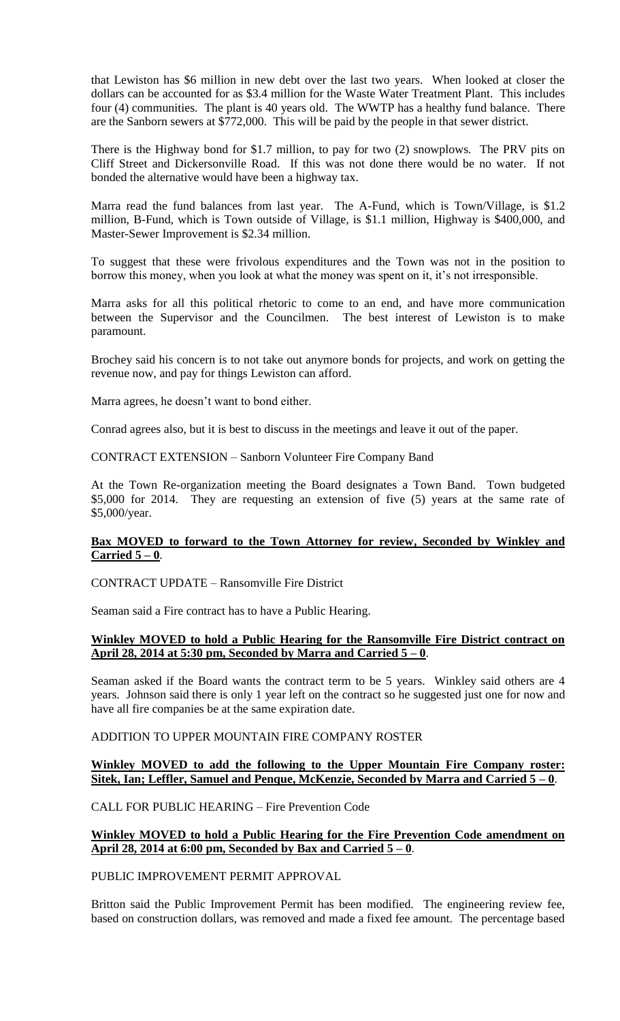that Lewiston has \$6 million in new debt over the last two years. When looked at closer the dollars can be accounted for as \$3.4 million for the Waste Water Treatment Plant. This includes four (4) communities. The plant is 40 years old. The WWTP has a healthy fund balance. There are the Sanborn sewers at \$772,000. This will be paid by the people in that sewer district.

There is the Highway bond for \$1.7 million, to pay for two (2) snowplows. The PRV pits on Cliff Street and Dickersonville Road. If this was not done there would be no water. If not bonded the alternative would have been a highway tax.

Marra read the fund balances from last year. The A-Fund, which is Town/Village, is \$1.2 million, B-Fund, which is Town outside of Village, is \$1.1 million, Highway is \$400,000, and Master-Sewer Improvement is \$2.34 million.

To suggest that these were frivolous expenditures and the Town was not in the position to borrow this money, when you look at what the money was spent on it, it's not irresponsible.

Marra asks for all this political rhetoric to come to an end, and have more communication between the Supervisor and the Councilmen. The best interest of Lewiston is to make paramount.

Brochey said his concern is to not take out anymore bonds for projects, and work on getting the revenue now, and pay for things Lewiston can afford.

Marra agrees, he doesn't want to bond either.

Conrad agrees also, but it is best to discuss in the meetings and leave it out of the paper.

CONTRACT EXTENSION – Sanborn Volunteer Fire Company Band

At the Town Re-organization meeting the Board designates a Town Band. Town budgeted \$5,000 for 2014. They are requesting an extension of five (5) years at the same rate of \$5,000/year.

## **Bax MOVED to forward to the Town Attorney for review, Seconded by Winkley and Carried 5 – 0**.

# CONTRACT UPDATE – Ransomville Fire District

Seaman said a Fire contract has to have a Public Hearing.

#### **Winkley MOVED to hold a Public Hearing for the Ransomville Fire District contract on April 28, 2014 at 5:30 pm, Seconded by Marra and Carried 5 – 0**.

Seaman asked if the Board wants the contract term to be 5 years. Winkley said others are 4 years. Johnson said there is only 1 year left on the contract so he suggested just one for now and have all fire companies be at the same expiration date.

ADDITION TO UPPER MOUNTAIN FIRE COMPANY ROSTER

## **Winkley MOVED to add the following to the Upper Mountain Fire Company roster: Sitek, Ian; Leffler, Samuel and Penque, McKenzie, Seconded by Marra and Carried 5 – 0**.

CALL FOR PUBLIC HEARING – Fire Prevention Code

## **Winkley MOVED to hold a Public Hearing for the Fire Prevention Code amendment on April 28, 2014 at 6:00 pm, Seconded by Bax and Carried 5 – 0**.

## PUBLIC IMPROVEMENT PERMIT APPROVAL

Britton said the Public Improvement Permit has been modified. The engineering review fee, based on construction dollars, was removed and made a fixed fee amount. The percentage based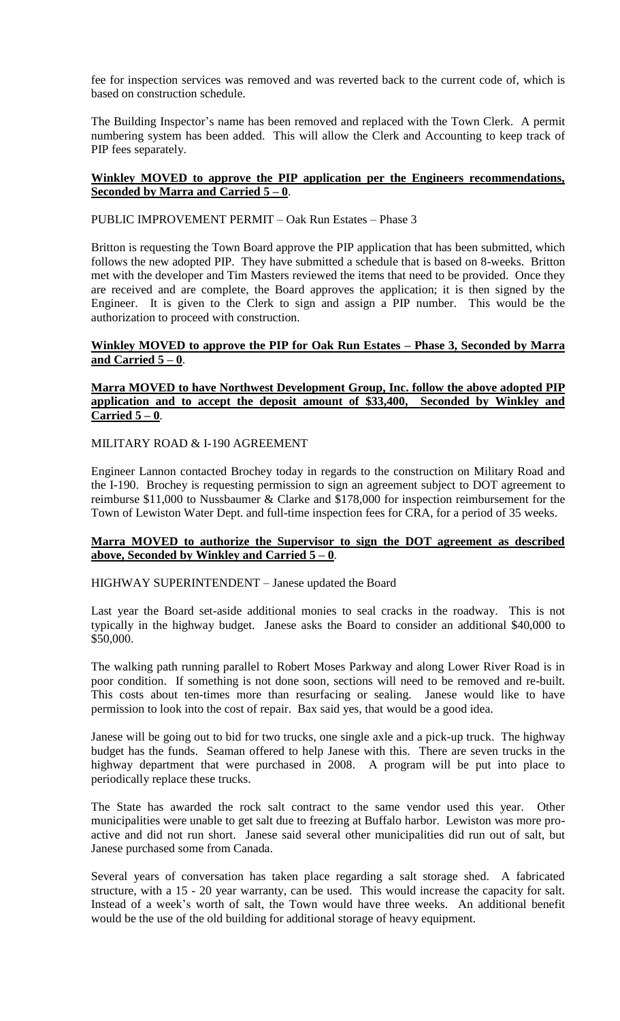fee for inspection services was removed and was reverted back to the current code of, which is based on construction schedule.

The Building Inspector's name has been removed and replaced with the Town Clerk. A permit numbering system has been added. This will allow the Clerk and Accounting to keep track of PIP fees separately.

# **Winkley MOVED to approve the PIP application per the Engineers recommendations, Seconded by Marra and Carried 5 – 0**.

PUBLIC IMPROVEMENT PERMIT – Oak Run Estates – Phase 3

Britton is requesting the Town Board approve the PIP application that has been submitted, which follows the new adopted PIP. They have submitted a schedule that is based on 8-weeks. Britton met with the developer and Tim Masters reviewed the items that need to be provided. Once they are received and are complete, the Board approves the application; it is then signed by the Engineer. It is given to the Clerk to sign and assign a PIP number. This would be the authorization to proceed with construction.

# **Winkley MOVED to approve the PIP for Oak Run Estates – Phase 3, Seconded by Marra and Carried 5 – 0**.

#### **Marra MOVED to have Northwest Development Group, Inc. follow the above adopted PIP application and to accept the deposit amount of \$33,400, Seconded by Winkley and Carried 5 – 0**.

# MILITARY ROAD & I-190 AGREEMENT

Engineer Lannon contacted Brochey today in regards to the construction on Military Road and the I-190. Brochey is requesting permission to sign an agreement subject to DOT agreement to reimburse \$11,000 to Nussbaumer & Clarke and \$178,000 for inspection reimbursement for the Town of Lewiston Water Dept. and full-time inspection fees for CRA, for a period of 35 weeks.

## **Marra MOVED to authorize the Supervisor to sign the DOT agreement as described above, Seconded by Winkley and Carried 5 – 0**.

HIGHWAY SUPERINTENDENT – Janese updated the Board

Last year the Board set-aside additional monies to seal cracks in the roadway. This is not typically in the highway budget. Janese asks the Board to consider an additional \$40,000 to \$50,000.

The walking path running parallel to Robert Moses Parkway and along Lower River Road is in poor condition. If something is not done soon, sections will need to be removed and re-built. This costs about ten-times more than resurfacing or sealing. Janese would like to have permission to look into the cost of repair. Bax said yes, that would be a good idea.

Janese will be going out to bid for two trucks, one single axle and a pick-up truck. The highway budget has the funds. Seaman offered to help Janese with this. There are seven trucks in the highway department that were purchased in 2008. A program will be put into place to periodically replace these trucks.

The State has awarded the rock salt contract to the same vendor used this year. Other municipalities were unable to get salt due to freezing at Buffalo harbor. Lewiston was more proactive and did not run short. Janese said several other municipalities did run out of salt, but Janese purchased some from Canada.

Several years of conversation has taken place regarding a salt storage shed. A fabricated structure, with a 15 - 20 year warranty, can be used. This would increase the capacity for salt. Instead of a week's worth of salt, the Town would have three weeks. An additional benefit would be the use of the old building for additional storage of heavy equipment.